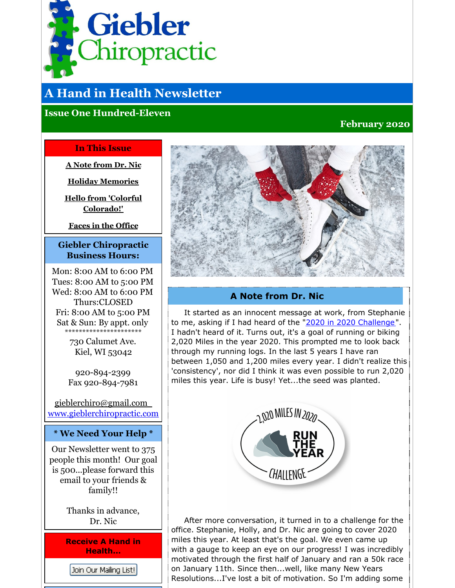<span id="page-0-0"></span>

# **A Hand in Health Newsletter**

# **Issue One Hundred-Eleven**

# **February 2020**

## **In This Issue**

**A Note [from](#page-0-0) Dr. Nic**

**Holiday [Memories](#page-0-0)**

**Hello from 'Colorful [Colorado!'](#page-0-0)**

**Faces in the [Office](#page-0-0)**

## **Giebler Chiropractic Business Hours:**

Mon: 8:00 AM to 6:00 PM Tues: 8:00 AM to 5:00 PM Wed: 8:00 AM to 6:00 PM Thurs:CLOSED Fri: 8:00 AM to 5:00 PM Sat & Sun: By appt. only \*\*\*\*\*\*\*\*\*\*\*\*\*\*\*\*\*\*\*\*\*\*

> 730 Calumet Ave. Kiel, WI 53042

920-894-2399 Fax 920-894-7981

[gieblerchiro@gmail.com](mailto:gieblerchiro@gmail.com) [www.gieblerchiropractic.com](http://www.gieblerchiropractic.com)

#### **\* We Need Your Help \***

Our Newsletter went to 375 people this month! Our goal is 500...please forward this email to your friends & family!!

> Thanks in advance, Dr. Nic

**Receive A Hand in Health...**

Join Our Mailing List!



## **A Note from Dr. Nic**

It started as an innocent message at work, from Stephanie to me, asking if I had heard of the "2020 in 2020 [Challenge](https://runtheyear.com/)". I hadn't heard of it. Turns out, it's a goal of running or biking 2,020 Miles in the year 2020. This prompted me to look back through my running logs. In the last 5 years I have ran between 1,050 and 1,200 miles every year. I didn't realize this 'consistency', nor did I think it was even possible to run 2,020 miles this year. Life is busy! Yet...the seed was planted.



After more conversation, it turned in to a challenge for the office. Stephanie, Holly, and Dr. Nic are going to cover 2020 miles this year. At least that's the goal. We even came up with a gauge to keep an eye on our progress! I was incredibly motivated through the first half of January and ran a 50k race on January 11th. Since then...well, like many New Years Resolutions...I've lost a bit of motivation. So I'm adding some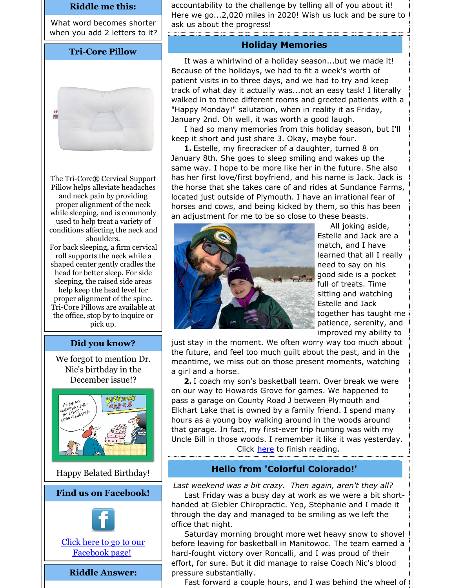#### **Riddle me this:**

What word becomes shorter when you add 2 letters to it?

#### **Tri-Core Pillow**



The Tri-Core® Cervical Support Pillow helps alleviate headaches and neck pain by providing proper alignment of the neck while sleeping, and is commonly used to help treat a variety of conditions affecting the neck and shoulders. For back sleeping, a firm cervical roll supports the neck while a shaped center gently cradles the head for better sleep. For side sleeping, the raised side areas help keep the head level for proper alignment of the spine. Tri-Core Pillows are available at the office, stop by to inquire or pick up.

#### **Did you know?**

We forgot to mention Dr. Nic's birthday in the December issue!?



Happy Belated Birthday!

#### **Find us on Facebook!**



Click here to go to our [Facebook](http://www.facebook.com/pages/Giebler-Chiropractic/218099108202339) page!

#### **Riddle Answer:**

accountability to the challenge by telling all of you about it! Here we go...2,020 miles in 2020! Wish us luck and be sure to ask us about the progress!

#### **Holiday Memories**

It was a whirlwind of a holiday season...but we made it! Because of the holidays, we had to fit a week's worth of patient visits in to three days, and we had to try and keep track of what day it actually was...not an easy task! I literally walked in to three different rooms and greeted patients with a "Happy Monday!" salutation, when in reality it as Friday, January 2nd. Oh well, it was worth a good laugh.

I had so many memories from this holiday season, but I'll keep it short and just share 3. Okay, maybe four.

**1.** Estelle, my firecracker of a daughter, turned 8 on January 8th. She goes to sleep smiling and wakes up the same way. I hope to be more like her in the future. She also has her first love/first boyfriend, and his name is Jack. Jack is the horse that she takes care of and rides at Sundance Farms, located just outside of Plymouth. I have an irrational fear of horses and cows, and being kicked by them, so this has been an adjustment for me to be so close to these beasts.



All joking aside, Estelle and Jack are a match, and I have learned that all I really need to say on his good side is a pocket full of treats. Time sitting and watching Estelle and Jack together has taught me patience, serenity, and improved my ability to

just stay in the moment. We often worry way too much about the future, and feel too much guilt about the past, and in the meantime, we miss out on those present moments, watching a girl and a horse.

**2.** I coach my son's basketball team. Over break we were on our way to Howards Grove for games. We happened to pass a garage on County Road J between Plymouth and Elkhart Lake that is owned by a family friend. I spend many hours as a young boy walking around in the woods around that garage. In fact, my first-ever trip hunting was with my Uncle Bill in those woods. I remember it like it was yesterday. Click [here](https://gieblerchiropractic.blogspot.com/2020/01/holiday-memories.html) to finish reading.

#### **Hello from 'Colorful Colorado!'**

*Last weekend was a bit crazy. Then again, aren't they all?*

Last Friday was a busy day at work as we were a bit shorthanded at Giebler Chiropractic. Yep, Stephanie and I made it through the day and managed to be smiling as we left the office that night.

Saturday morning brought more wet heavy snow to shovel before leaving for basketball in Manitowoc. The team earned a hard-fought victory over Roncalli, and I was proud of their effort, for sure. But it did manage to raise Coach Nic's blood pressure substantially.

Fast forward a couple hours, and I was behind the wheel of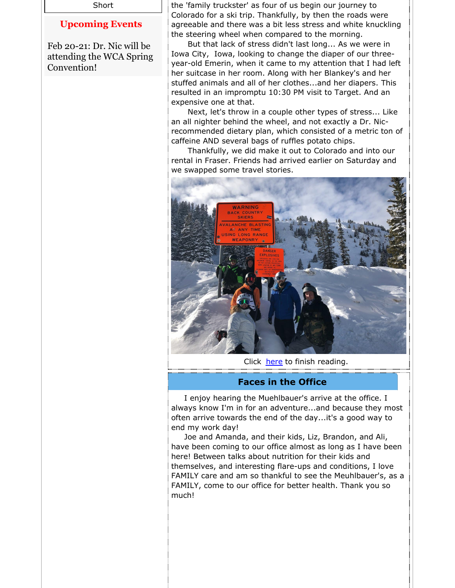Short

# **Upcoming Events**

Feb 20-21: Dr. Nic will be attending the WCA Spring Convention!

the 'family truckster' as four of us begin our journey to Colorado for a ski trip. Thankfully, by then the roads were agreeable and there was a bit less stress and white knuckling the steering wheel when compared to the morning.

But that lack of stress didn't last long... As we were in Iowa City, Iowa, looking to change the diaper of our threeyear-old Emerin, when it came to my attention that I had left her suitcase in her room. Along with her Blankey's and her stuffed animals and all of her clothes...and her diapers. This resulted in an impromptu 10:30 PM visit to Target. And an expensive one at that.

Next, let's throw in a couple other types of stress... Like an all nighter behind the wheel, and not exactly a Dr. Nicrecommended dietary plan, which consisted of a metric ton of caffeine AND several bags of ruffles potato chips.

Thankfully, we did make it out to Colorado and into our rental in Fraser. Friends had arrived earlier on Saturday and we swapped some travel stories.



Click [here](https://gieblerchiropractic.blogspot.com/2020/01/hello-from-colorful-colorado.html) to finish reading.

#### **Faces in the Office**

I enjoy hearing the Muehlbauer's arrive at the office. I always know I'm in for an adventure...and because they most often arrive towards the end of the day...it's a good way to end my work day!

Joe and Amanda, and their kids, Liz, Brandon, and Ali, have been coming to our office almost as long as I have been here! Between talks about nutrition for their kids and themselves, and interesting flare-ups and conditions, I love FAMILY care and am so thankful to see the Meuhlbauer's, as a FAMILY, come to our office for better health. Thank you so much!